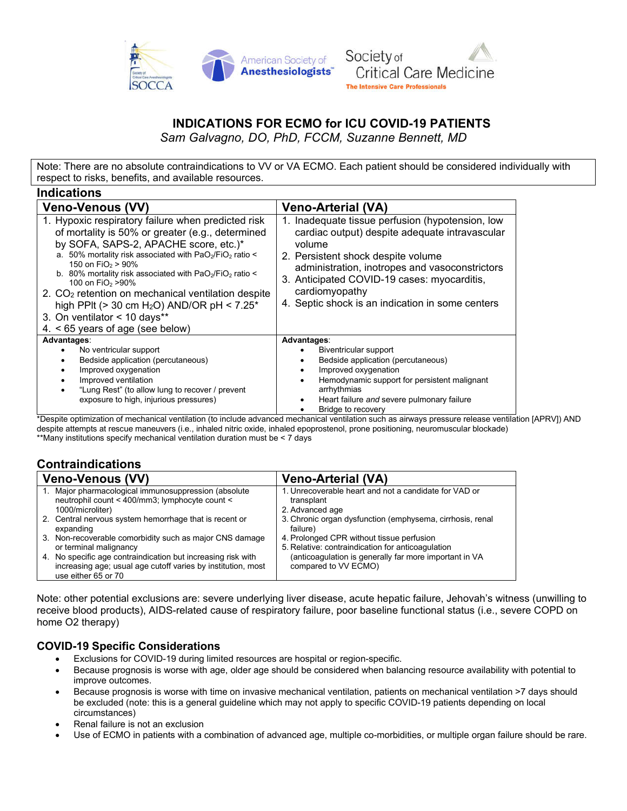



## **INDICATIONS FOR ECMO for ICU COVID-19 PATIENTS**

*Sam Galvagno, DO, PhD, FCCM, Suzanne Bennett, MD*

Note: There are no absolute contraindications to VV or VA ECMO. Each patient should be considered individually with respect to risks, benefits, and available resources.

| <b>Veno-Arterial (VA)</b>                                                                                                                                                                                                                                                                                              |
|------------------------------------------------------------------------------------------------------------------------------------------------------------------------------------------------------------------------------------------------------------------------------------------------------------------------|
| Inadequate tissue perfusion (hypotension, low<br>cardiac output) despite adequate intravascular<br>volume<br>2. Persistent shock despite volume<br>administration, inotropes and vasoconstrictors<br>3. Anticipated COVID-19 cases: myocarditis,<br>cardiomyopathy<br>4. Septic shock is an indication in some centers |
| Advantages:<br>Biventricular support<br>Bedside application (percutaneous)<br>Improved oxygenation<br>Hemodynamic support for persistent malignant<br>arrhythmias<br>Heart failure and severe pulmonary failure                                                                                                        |
|                                                                                                                                                                                                                                                                                                                        |

\*Despite optimization of mechanical ventilation (to include advanced mechanical ventilation such as airways pressure release ventilation [APRV]) AND despite attempts at rescue maneuvers (i.e., inhaled nitric oxide, inhaled epoprostenol, prone positioning, neuromuscular blockade) \*\*Many institutions specify mechanical ventilation duration must be < 7 days

## **Contraindications**

**Indications**

| <b>Veno-Venous (VV)</b>                                                                                                                             | <b>Veno-Arterial (VA)</b>                                                      |
|-----------------------------------------------------------------------------------------------------------------------------------------------------|--------------------------------------------------------------------------------|
| 1. Major pharmacological immunosuppression (absolute                                                                                                | 1. Unrecoverable heart and not a candidate for VAD or                          |
| neutrophil count < 400/mm3; lymphocyte count <                                                                                                      | transplant                                                                     |
| 1000/microliter)                                                                                                                                    | 2. Advanced age                                                                |
| 2. Central nervous system hemorrhage that is recent or                                                                                              | 3. Chronic organ dysfunction (emphysema, cirrhosis, renal                      |
| expanding                                                                                                                                           | failure)                                                                       |
| 3. Non-recoverable comorbidity such as major CNS damage                                                                                             | 4. Prolonged CPR without tissue perfusion                                      |
| or terminal malignancy                                                                                                                              | 5. Relative: contraindication for anticoagulation                              |
| 4. No specific age contraindication but increasing risk with<br>increasing age; usual age cutoff varies by institution, most<br>use either 65 or 70 | (anticoagulation is generally far more important in VA<br>compared to VV ECMO) |

Note: other potential exclusions are: severe underlying liver disease, acute hepatic failure, Jehovah's witness (unwilling to receive blood products), AIDS-related cause of respiratory failure, poor baseline functional status (i.e., severe COPD on home O2 therapy)

## **COVID-19 Specific Considerations**

- Exclusions for COVID-19 during limited resources are hospital or region-specific.
- Because prognosis is worse with age, older age should be considered when balancing resource availability with potential to improve outcomes.
- Because prognosis is worse with time on invasive mechanical ventilation, patients on mechanical ventilation >7 days should be excluded (note: this is a general guideline which may not apply to specific COVID-19 patients depending on local circumstances)
- Renal failure is not an exclusion
- Use of ECMO in patients with a combination of advanced age, multiple co-morbidities, or multiple organ failure should be rare.